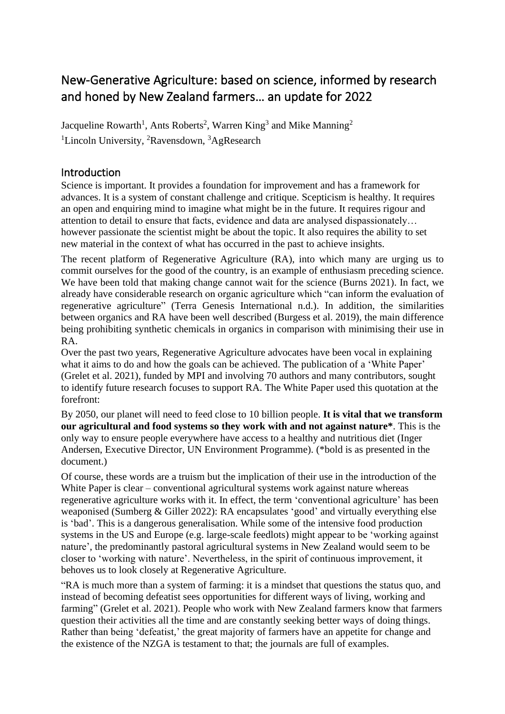# New-Generative Agriculture: based on science, informed by research and honed by New Zealand farmers… an update for 2022

Jacqueline Rowarth<sup>1</sup>, Ants Roberts<sup>2</sup>, Warren King<sup>3</sup> and Mike Manning<sup>2</sup> <sup>1</sup>Lincoln University, <sup>2</sup>Ravensdown, <sup>3</sup>AgResearch

# **Introduction**

Science is important. It provides a foundation for improvement and has a framework for advances. It is a system of constant challenge and critique. Scepticism is healthy. It requires an open and enquiring mind to imagine what might be in the future. It requires rigour and attention to detail to ensure that facts, evidence and data are analysed dispassionately… however passionate the scientist might be about the topic. It also requires the ability to set new material in the context of what has occurred in the past to achieve insights.

The recent platform of Regenerative Agriculture (RA), into which many are urging us to commit ourselves for the good of the country, is an example of enthusiasm preceding science. We have been told that making change cannot wait for the science (Burns 2021). In fact, we already have considerable research on organic agriculture which "can inform the evaluation of regenerative agriculture" (Terra Genesis International n.d.). In addition, the similarities between organics and RA have been well described (Burgess et al. 2019), the main difference being prohibiting synthetic chemicals in organics in comparison with minimising their use in R A

Over the past two years, Regenerative Agriculture advocates have been vocal in explaining what it aims to do and how the goals can be achieved. The publication of a 'White Paper' (Grelet et al. 2021), funded by MPI and involving 70 authors and many contributors, sought to identify future research focuses to support RA. The White Paper used this quotation at the forefront:

By 2050, our planet will need to feed close to 10 billion people. **It is vital that we transform our agricultural and food systems so they work with and not against nature\***. This is the only way to ensure people everywhere have access to a healthy and nutritious diet (Inger Andersen, Executive Director, UN Environment Programme). (\*bold is as presented in the document.)

Of course, these words are a truism but the implication of their use in the introduction of the White Paper is clear – conventional agricultural systems work against nature whereas regenerative agriculture works with it. In effect, the term 'conventional agriculture' has been weaponised (Sumberg & Giller 2022): RA encapsulates 'good' and virtually everything else is 'bad'. This is a dangerous generalisation. While some of the intensive food production systems in the US and Europe (e.g. large-scale feedlots) might appear to be 'working against nature', the predominantly pastoral agricultural systems in New Zealand would seem to be closer to 'working with nature'. Nevertheless, in the spirit of continuous improvement, it behoves us to look closely at Regenerative Agriculture.

"RA is much more than a system of farming: it is a mindset that questions the status quo, and instead of becoming defeatist sees opportunities for different ways of living, working and farming" (Grelet et al. 2021). People who work with New Zealand farmers know that farmers question their activities all the time and are constantly seeking better ways of doing things. Rather than being 'defeatist,' the great majority of farmers have an appetite for change and the existence of the NZGA is testament to that; the journals are full of examples.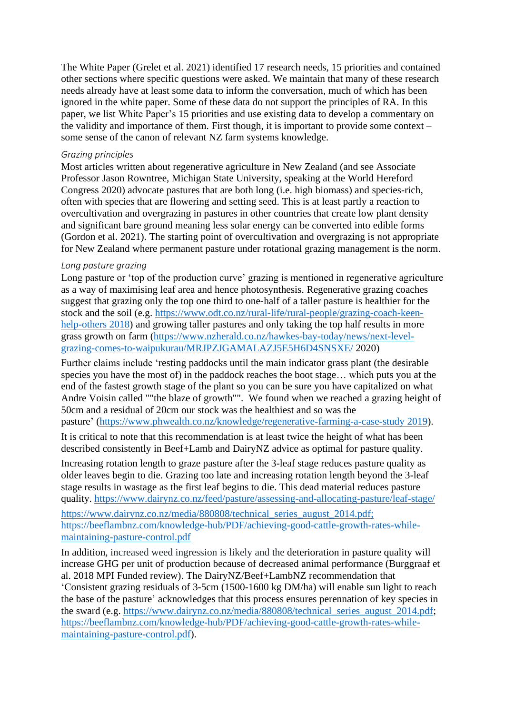The White Paper (Grelet et al. 2021) identified 17 research needs, 15 priorities and contained other sections where specific questions were asked. We maintain that many of these research needs already have at least some data to inform the conversation, much of which has been ignored in the white paper. Some of these data do not support the principles of RA. In this paper, we list White Paper's 15 priorities and use existing data to develop a commentary on the validity and importance of them. First though, it is important to provide some context – some sense of the canon of relevant NZ farm systems knowledge.

#### *Grazing principles*

Most articles written about regenerative agriculture in New Zealand (and see Associate Professor Jason Rowntree, Michigan State University, speaking at the World Hereford Congress 2020) advocate pastures that are both long (i.e. high biomass) and species-rich, often with species that are flowering and setting seed. This is at least partly a reaction to overcultivation and overgrazing in pastures in other countries that create low plant density and significant bare ground meaning less solar energy can be converted into edible forms (Gordon et al. 2021). The starting point of overcultivation and overgrazing is not appropriate for New Zealand where permanent pasture under rotational grazing management is the norm.

#### *Long pasture grazing*

Long pasture or 'top of the production curve' grazing is mentioned in regenerative agriculture as a way of maximising leaf area and hence photosynthesis. Regenerative grazing coaches suggest that grazing only the top one third to one-half of a taller pasture is healthier for the stock and the soil (e.g. [https://www.odt.co.nz/rural-life/rural-people/grazing-coach-keen](about:blank)[help-others 2018\)](about:blank) and growing taller pastures and only taking the top half results in more grass growth on farm [\(https://www.nzherald.co.nz/hawkes-bay-today/news/next-level](about:blank)[grazing-comes-to-waipukurau/MRJPZJGAMALAZJ5E5H6D4SNSXE/](about:blank) 2020)

Further claims include 'resting paddocks until the main indicator grass plant (the desirable species you have the most of) in the paddock reaches the boot stage… which puts you at the end of the fastest growth stage of the plant so you can be sure you have capitalized on what Andre Voisin called ""the blaze of growth"". We found when we reached a grazing height of 50cm and a residual of 20cm our stock was the healthiest and so was the pasture' [\(https://www.phwealth.co.nz/knowledge/regenerative-farming-a-case-study 2019\)](about:blank).

It is critical to note that this recommendation is at least twice the height of what has been described consistently in Beef+Lamb and DairyNZ advice as optimal for pasture quality.

Increasing rotation length to graze pasture after the 3-leaf stage reduces pasture quality as older leaves begin to die. Grazing too late and increasing rotation length beyond the 3-leaf stage results in wastage as the first leaf begins to die. This dead material reduces pasture quality. [https://www.dairynz.co.nz/feed/pasture/assessing-and-allocating-pasture/leaf-stage/](about:blank)

[https://www.dairynz.co.nz/media/880808/technical\\_series\\_august\\_2014.pdf;](about:blank) [https://beeflambnz.com/knowledge-hub/PDF/achieving-good-cattle-growth-rates-while](https://beeflambnz.com/knowledge-hub/PDF/achieving-good-cattle-growth-rates-while-maintaining-pasture-control.pdf)[maintaining-pasture-control.pdf](https://beeflambnz.com/knowledge-hub/PDF/achieving-good-cattle-growth-rates-while-maintaining-pasture-control.pdf)

In addition, increased weed ingression is likely and the deterioration in pasture quality will increase GHG per unit of production because of decreased animal performance (Burggraaf et al. 2018 MPI Funded review). The DairyNZ/Beef+LambNZ recommendation that 'Consistent grazing residuals of 3-5cm (1500-1600 kg DM/ha) will enable sun light to reach the base of the pasture' acknowledges that this process ensures perennation of key species in the sward (e.g. [https://www.dairynz.co.nz/media/880808/technical\\_series\\_august\\_2014.pdf;](https://www.dairynz.co.nz/media/880808/technical_series_august_2014.pdf) [https://beeflambnz.com/knowledge-hub/PDF/achieving-good-cattle-growth-rates-while](https://beeflambnz.com/knowledge-hub/PDF/achieving-good-cattle-growth-rates-while-maintaining-pasture-control.pdf)[maintaining-pasture-control.pdf\)](https://beeflambnz.com/knowledge-hub/PDF/achieving-good-cattle-growth-rates-while-maintaining-pasture-control.pdf).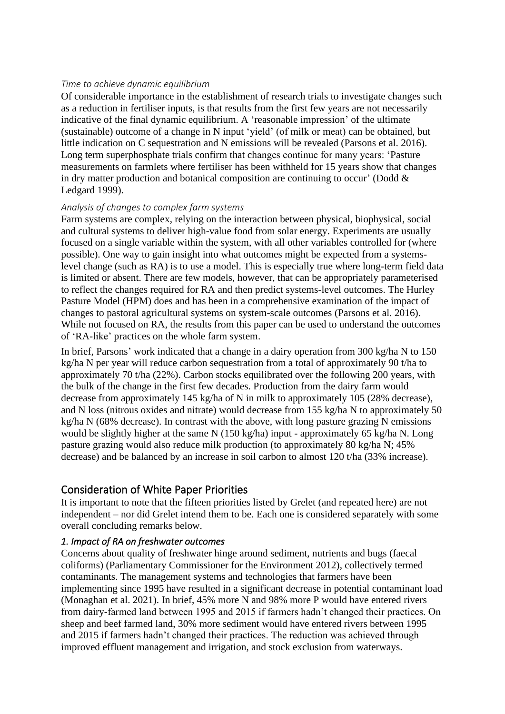#### *Time to achieve dynamic equilibrium*

Of considerable importance in the establishment of research trials to investigate changes such as a reduction in fertiliser inputs, is that results from the first few years are not necessarily indicative of the final dynamic equilibrium. A 'reasonable impression' of the ultimate (sustainable) outcome of a change in N input 'yield' (of milk or meat) can be obtained, but little indication on C sequestration and N emissions will be revealed (Parsons et al. 2016). Long term superphosphate trials confirm that changes continue for many years: 'Pasture measurements on farmlets where fertiliser has been withheld for 15 years show that changes in dry matter production and botanical composition are continuing to occur' (Dodd  $\&$ Ledgard 1999).

#### *Analysis of changes to complex farm systems*

Farm systems are complex, relying on the interaction between physical, biophysical, social and cultural systems to deliver high-value food from solar energy. Experiments are usually focused on a single variable within the system, with all other variables controlled for (where possible). One way to gain insight into what outcomes might be expected from a systemslevel change (such as RA) is to use a model. This is especially true where long-term field data is limited or absent. There are few models, however, that can be appropriately parameterised to reflect the changes required for RA and then predict systems-level outcomes. The Hurley Pasture Model (HPM) does and has been in a comprehensive examination of the impact of changes to pastoral agricultural systems on system-scale outcomes (Parsons et al. 2016). While not focused on RA, the results from this paper can be used to understand the outcomes of 'RA-like' practices on the whole farm system.

In brief, Parsons' work indicated that a change in a dairy operation from 300 kg/ha N to 150 kg/ha N per year will reduce carbon sequestration from a total of approximately 90 t/ha to approximately 70 t/ha (22%). Carbon stocks equilibrated over the following 200 years, with the bulk of the change in the first few decades. Production from the dairy farm would decrease from approximately 145 kg/ha of N in milk to approximately 105 (28% decrease), and N loss (nitrous oxides and nitrate) would decrease from 155 kg/ha N to approximately 50 kg/ha N (68% decrease). In contrast with the above, with long pasture grazing N emissions would be slightly higher at the same N (150 kg/ha) input - approximately 65 kg/ha N. Long pasture grazing would also reduce milk production (to approximately 80 kg/ha N; 45% decrease) and be balanced by an increase in soil carbon to almost 120 t/ha (33% increase).

# Consideration of White Paper Priorities

It is important to note that the fifteen priorities listed by Grelet (and repeated here) are not independent – nor did Grelet intend them to be. Each one is considered separately with some overall concluding remarks below.

#### *1. Impact of RA on freshwater outcomes*

Concerns about quality of freshwater hinge around sediment, nutrients and bugs (faecal coliforms) (Parliamentary Commissioner for the Environment 2012), collectively termed contaminants. The management systems and technologies that farmers have been implementing since 1995 have resulted in a significant decrease in potential contaminant load (Monaghan et al. 2021). In brief, 45% more N and 98% more P would have entered rivers from dairy-farmed land between 1995 and 2015 if farmers hadn't changed their practices. On sheep and beef farmed land, 30% more sediment would have entered rivers between 1995 and 2015 if farmers hadn't changed their practices. The reduction was achieved through improved effluent management and irrigation, and stock exclusion from waterways.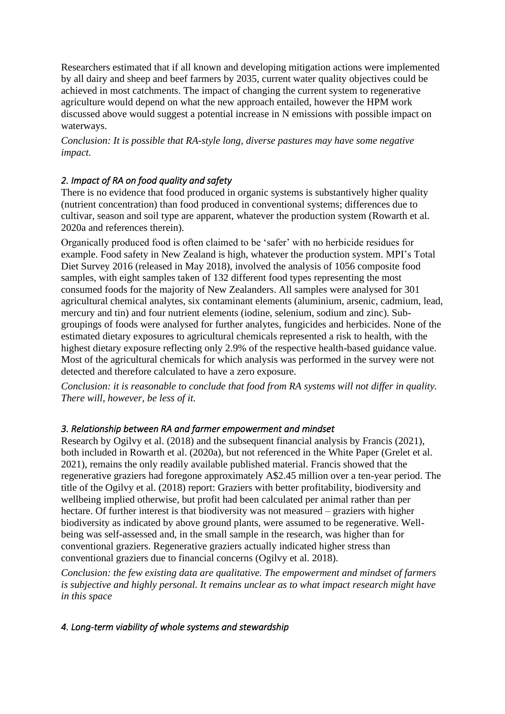Researchers estimated that if all known and developing mitigation actions were implemented by all dairy and sheep and beef farmers by 2035, current water quality objectives could be achieved in most catchments. The impact of changing the current system to regenerative agriculture would depend on what the new approach entailed, however the HPM work discussed above would suggest a potential increase in N emissions with possible impact on waterways.

*Conclusion: It is possible that RA-style long, diverse pastures may have some negative impact.*

# *2. Impact of RA on food quality and safety*

There is no evidence that food produced in organic systems is substantively higher quality (nutrient concentration) than food produced in conventional systems; differences due to cultivar, season and soil type are apparent, whatever the production system (Rowarth et al. 2020a and references therein).

Organically produced food is often claimed to be 'safer' with no herbicide residues for example. Food safety in New Zealand is high, whatever the production system. MPI's Total Diet Survey 2016 (released in May 2018), involved the analysis of 1056 composite food samples, with eight samples taken of 132 different food types representing the most consumed foods for the majority of New Zealanders. All samples were analysed for 301 agricultural chemical analytes, six contaminant elements (aluminium, arsenic, cadmium, lead, mercury and tin) and four nutrient elements (iodine, selenium, sodium and zinc). Subgroupings of foods were analysed for further analytes, fungicides and herbicides. None of the estimated dietary exposures to agricultural chemicals represented a risk to health, with the highest dietary exposure reflecting only 2.9% of the respective health-based guidance value. Most of the agricultural chemicals for which analysis was performed in the survey were not detected and therefore calculated to have a zero exposure.

*Conclusion: it is reasonable to conclude that food from RA systems will not differ in quality. There will, however, be less of it.*

# *3. Relationship between RA and farmer empowerment and mindset*

Research by Ogilvy et al. (2018) and the subsequent financial analysis by Francis (2021), both included in Rowarth et al. (2020a), but not referenced in the White Paper (Grelet et al. 2021), remains the only readily available published material. Francis showed that the regenerative graziers had foregone approximately A\$2.45 million over a ten-year period. The title of the Ogilvy et al. (2018) report: Graziers with better profitability, biodiversity and wellbeing implied otherwise, but profit had been calculated per animal rather than per hectare. Of further interest is that biodiversity was not measured – graziers with higher biodiversity as indicated by above ground plants, were assumed to be regenerative. Wellbeing was self-assessed and, in the small sample in the research, was higher than for conventional graziers. Regenerative graziers actually indicated higher stress than conventional graziers due to financial concerns (Ogilvy et al. 2018).

*Conclusion: the few existing data are qualitative. The empowerment and mindset of farmers is subjective and highly personal. It remains unclear as to what impact research might have in this space*

#### *4. Long-term viability of whole systems and stewardship*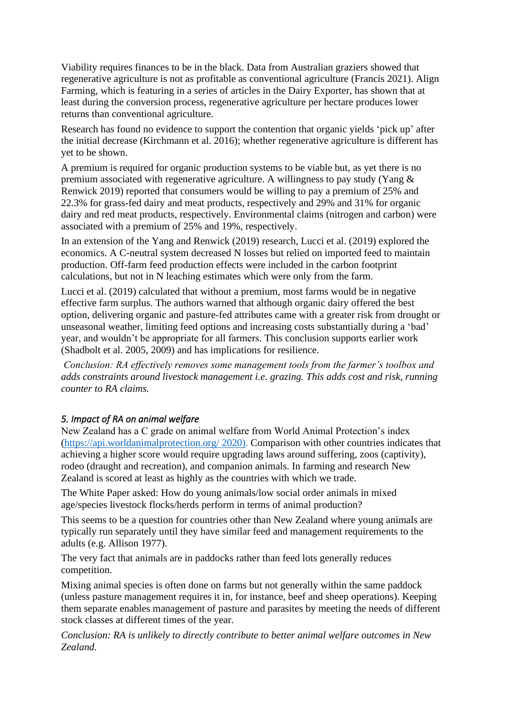Viability requires finances to be in the black. Data from Australian graziers showed that regenerative agriculture is not as profitable as conventional agriculture (Francis 2021). Align Farming, which is featuring in a series of articles in the Dairy Exporter, has shown that at least during the conversion process, regenerative agriculture per hectare produces lower returns than conventional agriculture.

Research has found no evidence to support the contention that organic yields 'pick up' after the initial decrease (Kirchmann et al. 2016); whether regenerative agriculture is different has yet to be shown.

A premium is required for organic production systems to be viable but, as yet there is no premium associated with regenerative agriculture. A willingness to pay study (Yang & Renwick 2019) reported that consumers would be willing to pay a premium of 25% and 22.3% for grass-fed dairy and meat products, respectively and 29% and 31% for organic dairy and red meat products, respectively. Environmental claims (nitrogen and carbon) were associated with a premium of 25% and 19%, respectively.

In an extension of the Yang and Renwick (2019) research, Lucci et al. (2019) explored the economics. A C-neutral system decreased N losses but relied on imported feed to maintain production. Off-farm feed production effects were included in the carbon footprint calculations, but not in N leaching estimates which were only from the farm.

Lucci et al. (2019) calculated that without a premium, most farms would be in negative effective farm surplus. The authors warned that although organic dairy offered the best option, delivering organic and pasture-fed attributes came with a greater risk from drought or unseasonal weather, limiting feed options and increasing costs substantially during a 'bad' year, and wouldn't be appropriate for all farmers. This conclusion supports earlier work (Shadbolt et al. 2005, 2009) and has implications for resilience.

*Conclusion: RA effectively removes some management tools from the farmer's toolbox and adds constraints around livestock management i.e. grazing. This adds cost and risk, running counter to RA claims.*

#### *5. Impact of RA on animal welfare*

New Zealand has a C grade on animal welfare from World Animal Protection's index [\(https://api.worldanimalprotection.org/](about:blank) 2020). Comparison with other countries indicates that achieving a higher score would require upgrading laws around suffering, zoos (captivity), rodeo (draught and recreation), and companion animals. In farming and research New Zealand is scored at least as highly as the countries with which we trade.

The White Paper asked: How do young animals/low social order animals in mixed age/species livestock flocks/herds perform in terms of animal production?

This seems to be a question for countries other than New Zealand where young animals are typically run separately until they have similar feed and management requirements to the adults (e.g. Allison 1977).

The very fact that animals are in paddocks rather than feed lots generally reduces competition.

Mixing animal species is often done on farms but not generally within the same paddock (unless pasture management requires it in, for instance, beef and sheep operations). Keeping them separate enables management of pasture and parasites by meeting the needs of different stock classes at different times of the year.

*Conclusion: RA is unlikely to directly contribute to better animal welfare outcomes in New Zealand.*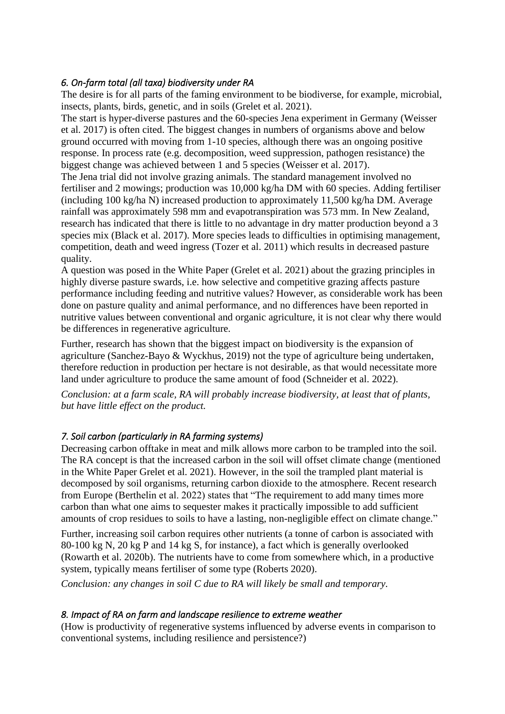#### *6. On-farm total (all taxa) biodiversity under RA*

The desire is for all parts of the faming environment to be biodiverse, for example, microbial, insects, plants, birds, genetic, and in soils (Grelet et al. 2021).

The start is hyper-diverse pastures and the 60-species Jena experiment in Germany (Weisser et al. 2017) is often cited. The biggest changes in numbers of organisms above and below ground occurred with moving from 1-10 species, although there was an ongoing positive response. In process rate (e.g. decomposition, weed suppression, pathogen resistance) the biggest change was achieved between 1 and 5 species (Weisser et al. 2017).

The Jena trial did not involve grazing animals. The standard management involved no fertiliser and 2 mowings; production was 10,000 kg/ha DM with 60 species. Adding fertiliser (including 100 kg/ha N) increased production to approximately 11,500 kg/ha DM. Average rainfall was approximately 598 mm and evapotranspiration was 573 mm. In New Zealand, research has indicated that there is little to no advantage in dry matter production beyond a 3 species mix (Black et al. 2017). More species leads to difficulties in optimising management, competition, death and weed ingress (Tozer et al. 2011) which results in decreased pasture quality.

A question was posed in the White Paper (Grelet et al. 2021) about the grazing principles in highly diverse pasture swards, i.e. how selective and competitive grazing affects pasture performance including feeding and nutritive values? However, as considerable work has been done on pasture quality and animal performance, and no differences have been reported in nutritive values between conventional and organic agriculture, it is not clear why there would be differences in regenerative agriculture.

Further, research has shown that the biggest impact on biodiversity is the expansion of agriculture (Sanchez-Bayo & Wyckhus, 2019) not the type of agriculture being undertaken, therefore reduction in production per hectare is not desirable, as that would necessitate more land under agriculture to produce the same amount of food (Schneider et al. 2022).

*Conclusion: at a farm scale, RA will probably increase biodiversity, at least that of plants, but have little effect on the product.*

# *7. Soil carbon (particularly in RA farming systems)*

Decreasing carbon offtake in meat and milk allows more carbon to be trampled into the soil. The RA concept is that the increased carbon in the soil will offset climate change (mentioned in the White Paper Grelet et al. 2021). However, in the soil the trampled plant material is decomposed by soil organisms, returning carbon dioxide to the atmosphere. Recent research from Europe (Berthelin et al. 2022) states that "The requirement to add many times more carbon than what one aims to sequester makes it practically impossible to add sufficient amounts of crop residues to soils to have a lasting, non-negligible effect on climate change."

Further, increasing soil carbon requires other nutrients (a tonne of carbon is associated with 80-100 kg N, 20 kg P and 14 kg S, for instance), a fact which is generally overlooked (Rowarth et al. 2020b). The nutrients have to come from somewhere which, in a productive system, typically means fertiliser of some type (Roberts 2020).

*Conclusion: any changes in soil C due to RA will likely be small and temporary.*

#### *8. Impact of RA on farm and landscape resilience to extreme weather*

(How is productivity of regenerative systems influenced by adverse events in comparison to conventional systems, including resilience and persistence?)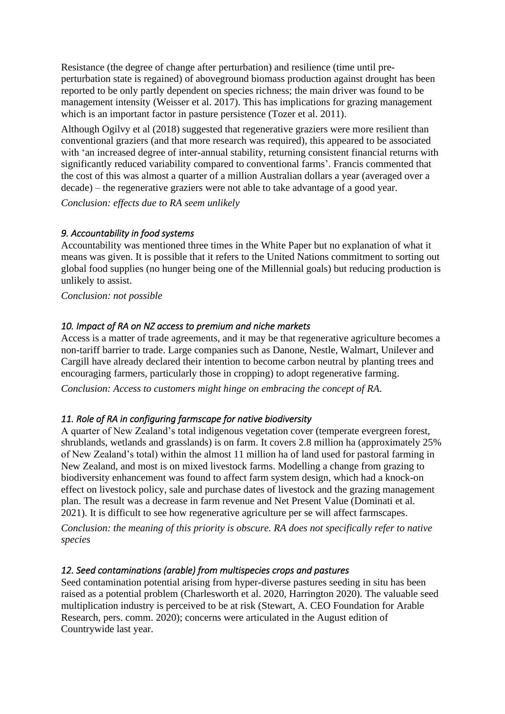Resistance (the degree of change after perturbation) and resilience (time until preperturbation state is regained) of aboveground biomass production against drought has been reported to be only partly dependent on species richness; the main driver was found to be management intensity (Weisser et al. 2017). This has implications for grazing management which is an important factor in pasture persistence (Tozer et al. 2011).

Although Ogilvy et al (2018) suggested that regenerative graziers were more resilient than conventional graziers (and that more research was required), this appeared to be associated with 'an increased degree of inter-annual stability, returning consistent financial returns with significantly reduced variability compared to conventional farms'. Francis commented that the cost of this was almost a quarter of a million Australian dollars a year (averaged over a decade) – the regenerative graziers were not able to take advantage of a good year.

*Conclusion: effects due to RA seem unlikely*

### *9. Accountability in food systems*

Accountability was mentioned three times in the White Paper but no explanation of what it means was given. It is possible that it refers to the United Nations commitment to sorting out global food supplies (no hunger being one of the Millennial goals) but reducing production is unlikely to assist.

*Conclusion: not possible*

### *10. Impact of RA on NZ access to premium and niche markets*

Access is a matter of trade agreements, and it may be that regenerative agriculture becomes a non-tariff barrier to trade. Large companies such as Danone, Nestle, Walmart, Unilever and Cargill have already declared their intention to become carbon neutral by planting trees and encouraging farmers, particularly those in cropping) to adopt regenerative farming.

*Conclusion: Access to customers might hinge on embracing the concept of RA.*

# *11. Role of RA in configuring farmscape for native biodiversity*

A quarter of New Zealand's total indigenous vegetation cover (temperate evergreen forest, shrublands, wetlands and grasslands) is on farm. It covers 2.8 million ha (approximately 25% of New Zealand's total) within the almost 11 million ha of land used for pastoral farming in New Zealand, and most is on mixed livestock farms. Modelling a change from grazing to biodiversity enhancement was found to affect farm system design, which had a knock-on effect on livestock policy, sale and purchase dates of livestock and the grazing management plan. The result was a decrease in farm revenue and Net Present Value (Dominati et al. 2021). It is difficult to see how regenerative agriculture per se will affect farmscapes.

*Conclusion: the meaning of this priority is obscure. RA does not specifically refer to native species*

# *12. Seed contaminations (arable) from multispecies crops and pastures*

Seed contamination potential arising from hyper-diverse pastures seeding in situ has been raised as a potential problem (Charlesworth et al. 2020, Harrington 2020). The valuable seed multiplication industry is perceived to be at risk (Stewart, A. CEO Foundation for Arable Research, pers. comm. 2020); concerns were articulated in the August edition of Countrywide last year.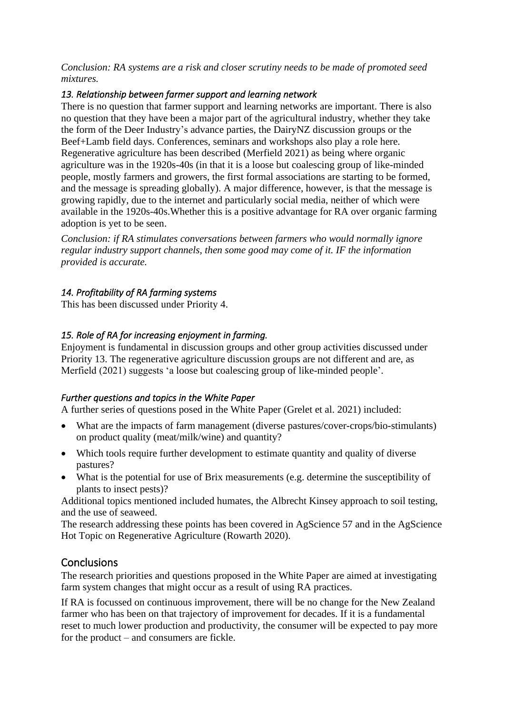*Conclusion: RA systems are a risk and closer scrutiny needs to be made of promoted seed mixtures.*

### *13. Relationship between farmer support and learning network*

There is no question that farmer support and learning networks are important. There is also no question that they have been a major part of the agricultural industry, whether they take the form of the Deer Industry's advance parties, the DairyNZ discussion groups or the Beef+Lamb field days. Conferences, seminars and workshops also play a role here. Regenerative agriculture has been described (Merfield 2021) as being where organic agriculture was in the 1920s-40s (in that it is a loose but coalescing group of like-minded people, mostly farmers and growers, the first formal associations are starting to be formed, and the message is spreading globally). A major difference, however, is that the message is growing rapidly, due to the internet and particularly social media, neither of which were available in the 1920s-40s.Whether this is a positive advantage for RA over organic farming adoption is yet to be seen.

*Conclusion: if RA stimulates conversations between farmers who would normally ignore regular industry support channels, then some good may come of it. IF the information provided is accurate.*

### *14. Profitability of RA farming systems*

This has been discussed under Priority 4.

### *15. Role of RA for increasing enjoyment in farming.*

Enjoyment is fundamental in discussion groups and other group activities discussed under Priority 13. The regenerative agriculture discussion groups are not different and are, as Merfield (2021) suggests 'a loose but coalescing group of like-minded people'.

#### *Further questions and topics in the White Paper*

A further series of questions posed in the White Paper (Grelet et al. 2021) included:

- What are the impacts of farm management (diverse pastures/cover-crops/bio-stimulants) on product quality (meat/milk/wine) and quantity?
- Which tools require further development to estimate quantity and quality of diverse pastures?
- What is the potential for use of Brix measurements (e.g. determine the susceptibility of plants to insect pests)?

Additional topics mentioned included humates, the Albrecht Kinsey approach to soil testing, and the use of seaweed.

The research addressing these points has been covered in AgScience 57 and in the AgScience Hot Topic on Regenerative Agriculture (Rowarth 2020).

# **Conclusions**

The research priorities and questions proposed in the White Paper are aimed at investigating farm system changes that might occur as a result of using RA practices.

If RA is focussed on continuous improvement, there will be no change for the New Zealand farmer who has been on that trajectory of improvement for decades. If it is a fundamental reset to much lower production and productivity, the consumer will be expected to pay more for the product – and consumers are fickle.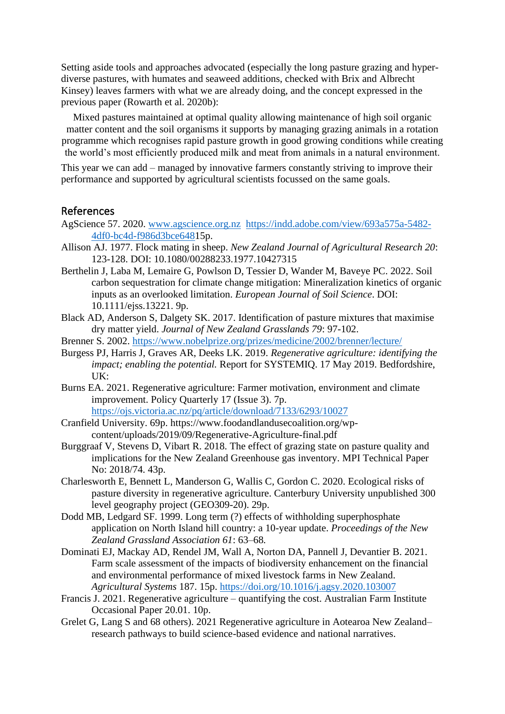Setting aside tools and approaches advocated (especially the long pasture grazing and hyperdiverse pastures, with humates and seaweed additions, checked with Brix and Albrecht Kinsey) leaves farmers with what we are already doing, and the concept expressed in the previous paper (Rowarth et al. 2020b):

Mixed pastures maintained at optimal quality allowing maintenance of high soil organic matter content and the soil organisms it supports by managing grazing animals in a rotation programme which recognises rapid pasture growth in good growing conditions while creating the world's most efficiently produced milk and meat from animals in a natural environment.

This year we can add – managed by innovative farmers constantly striving to improve their performance and supported by agricultural scientists focussed on the same goals.

#### References

- AgScience 57. 2020. [www.agscience.org.nz https://indd.adobe.com/view/693a575a-5482-](about:blank) [4df0-bc4d-f986d3bce6481](about:blank)5p.
- Allison AJ. 1977. Flock mating in sheep. *New Zealand Journal of Agricultural Research 20*: 123-128. DOI: 10.1080/00288233.1977.10427315
- Berthelin J, Laba M, Lemaire G, Powlson D, Tessier D, Wander M, Baveye PC. 2022. Soil carbon sequestration for climate change mitigation: Mineralization kinetics of organic inputs as an overlooked limitation. *European Journal of Soil Science*. DOI: 10.1111/ejss.13221. 9p.
- Black AD, Anderson S, Dalgety SK. 2017. Identification of pasture mixtures that maximise dry matter yield. *Journal of New Zealand Grasslands 79*: 97-102.
- Brenner S. 2002. [https://www.nobelprize.org/prizes/medicine/2002/brenner/lecture/](about:blank)
- Burgess PJ, Harris J, Graves AR, Deeks LK. 2019. *Regenerative agriculture: identifying the impact; enabling the potential.* Report for SYSTEMIQ. 17 May 2019. Bedfordshire, UK:
- Burns EA. 2021. Regenerative agriculture: Farmer motivation, environment and climate improvement. Policy Quarterly 17 (Issue 3). 7p. <https://ojs.victoria.ac.nz/pq/article/download/7133/6293/10027>
- Cranfield University. 69p. https://www.foodandlandusecoalition.org/wp
	- content/uploads/2019/09/Regenerative-Agriculture-final.pdf
- Burggraaf V, Stevens D, Vibart R. 2018. The effect of grazing state on pasture quality and implications for the New Zealand Greenhouse gas inventory. MPI Technical Paper No: 2018/74. 43p.
- Charlesworth E, Bennett L, Manderson G, Wallis C, Gordon C. 2020. Ecological risks of pasture diversity in regenerative agriculture. Canterbury University unpublished 300 level geography project (GEO309-20). 29p.
- Dodd MB, Ledgard SF. 1999. Long term (?) effects of withholding superphosphate application on North Island hill country: a 10-year update. *Proceedings of the New Zealand Grassland Association 61*: 63–68*.*
- Dominati EJ, Mackay AD, Rendel JM, Wall A, Norton DA, Pannell J, Devantier B. 2021. Farm scale assessment of the impacts of biodiversity enhancement on the financial and environmental performance of mixed livestock farms in New Zealand. *Agricultural Systems* 187. 15p.<https://doi.org/10.1016/j.agsy.2020.103007>
- Francis J. 2021. Regenerative agriculture quantifying the cost. Australian Farm Institute Occasional Paper 20.01. 10p.
- Grelet G, Lang S and 68 others). 2021 Regenerative agriculture in Aotearoa New Zealand– research pathways to build science-based evidence and national narratives.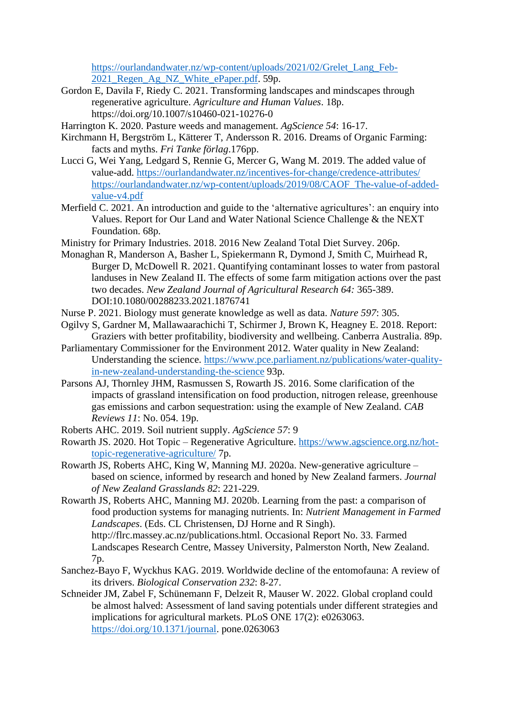[https://ourlandandwater.nz/wp-content/uploads/2021/02/Grelet\\_Lang\\_Feb-](https://ourlandandwater.nz/wp-content/uploads/2021/02/Grelet_Lang_Feb-2021_Regen_Ag_NZ_White_ePaper.pdf)[2021\\_Regen\\_Ag\\_NZ\\_White\\_ePaper.pdf.](https://ourlandandwater.nz/wp-content/uploads/2021/02/Grelet_Lang_Feb-2021_Regen_Ag_NZ_White_ePaper.pdf) 59p.

- Gordon E, Davila F, Riedy C. 2021. Transforming landscapes and mindscapes through regenerative agriculture. *Agriculture and Human Values*. 18p. https://doi.org/10.1007/s10460-021-10276-0
- Harrington K. 2020. Pasture weeds and management. *AgScience 54*: 16-17.
- Kirchmann H, Bergström L, Kätterer T, Andersson R. 2016. Dreams of Organic Farming: facts and myths. *Fri Tanke förlag*.176pp.
- Lucci G, Wei Yang, Ledgard S, Rennie G, Mercer G, Wang M. 2019. The added value of value-add.<https://ourlandandwater.nz/incentives-for-change/credence-attributes/> [https://ourlandandwater.nz/wp-content/uploads/2019/08/CAOF\\_The-value-of-added](about:blank)[value-v4.pdf](about:blank)
- Merfield C. 2021. An introduction and guide to the 'alternative agricultures': an enquiry into Values. Report for Our Land and Water National Science Challenge & the NEXT Foundation. 68p.
- Ministry for Primary Industries. 2018. 2016 New Zealand Total Diet Survey. 206p.
- Monaghan R, Manderson A, Basher L, Spiekermann R, Dymond J, Smith C, Muirhead R, Burger D, McDowell R. 2021. Quantifying contaminant losses to water from pastoral landuses in New Zealand II. The effects of some farm mitigation actions over the past two decades. *New Zealand Journal of Agricultural Research 64:* 365-389. DOI:10.1080/00288233.2021.1876741
- Nurse P. 2021. Biology must generate knowledge as well as data. *Nature 597*: 305.
- Ogilvy S, Gardner M, Mallawaarachichi T, Schirmer J, Brown K, Heagney E. 2018. Report: Graziers with better profitability, biodiversity and wellbeing. Canberra Australia. 89p.
- Parliamentary Commissioner for the Environment 2012. Water quality in New Zealand: Understanding the science. [https://www.pce.parliament.nz/publications/water-quality](about:blank)[in-new-zealand-understanding-the-science](about:blank) 93p.
- Parsons AJ, Thornley JHM, Rasmussen S, Rowarth JS. 2016. Some clarification of the impacts of grassland intensification on food production, nitrogen release, greenhouse gas emissions and carbon sequestration: using the example of New Zealand. *CAB Reviews 11*: No. 054. 19p.
- Roberts AHC. 2019. Soil nutrient supply. *AgScience 57*: 9
- Rowarth JS. 2020. Hot Topic Regenerative Agriculture. [https://www.agscience.org.nz/hot](about:blank)[topic-regenerative-agriculture/](about:blank) 7p.
- Rowarth JS, Roberts AHC, King W, Manning MJ. 2020a. New-generative agriculture based on science, informed by research and honed by New Zealand farmers. *Journal of New Zealand Grasslands 82*: 221-229.
- Rowarth JS, Roberts AHC, Manning MJ. 2020b. Learning from the past: a comparison of food production systems for managing nutrients. In: *Nutrient Management in Farmed Landscapes*. (Eds. CL Christensen, DJ Horne and R Singh). http://flrc.massey.ac.nz/publications.html. Occasional Report No. 33. Farmed

Landscapes Research Centre, Massey University, Palmerston North, New Zealand. 7p.

- Sanchez-Bayo F, Wyckhus KAG. 2019. Worldwide decline of the entomofauna: A review of its drivers. *Biological Conservation 232*: 8-27.
- Schneider JM, Zabel F, Schünemann F, Delzeit R, Mauser W. 2022. Global cropland could be almost halved: Assessment of land saving potentials under different strategies and implications for agricultural markets. PLoS ONE 17(2): e0263063. [https://doi.org/10.1371/journal.](https://doi.org/10.1371/journal) pone.0263063